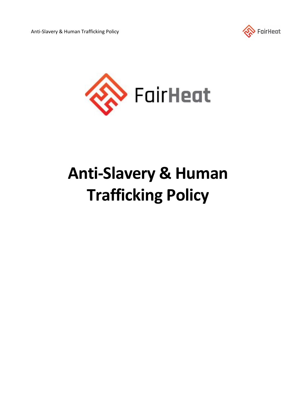



# **Anti-Slavery & Human Trafficking Policy**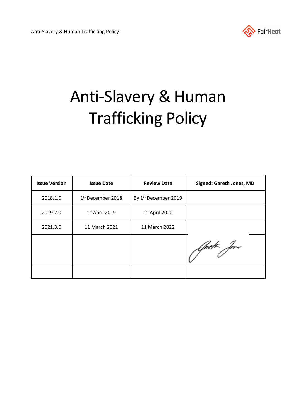

# Anti-Slavery & Human Trafficking Policy

| <b>Issue Version</b> | <b>Issue Date</b>   | <b>Review Date</b>               | <b>Signed: Gareth Jones, MD</b> |
|----------------------|---------------------|----------------------------------|---------------------------------|
| 2018.1.0             | $1st$ December 2018 | By 1 <sup>st</sup> December 2019 |                                 |
| 2019.2.0             | $1st$ April 2019    | $1st$ April 2020                 |                                 |
| 2021.3.0             | 11 March 2021       | 11 March 2022                    |                                 |
|                      |                     |                                  | Aprett for                      |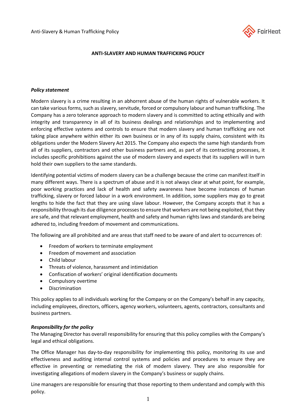

### **ANTI-SLAVERY AND HUMAN TRAFFICKING POLICY**

#### *Policy statement*

Modern slavery is a crime resulting in an abhorrent abuse of the human rights of vulnerable workers. It can take various forms, such as slavery, servitude, forced or compulsory labour and human trafficking. The Company has a zero tolerance approach to modern slavery and is committed to acting ethically and with integrity and transparency in all of its business dealings and relationships and to implementing and enforcing effective systems and controls to ensure that modern slavery and human trafficking are not taking place anywhere within either its own business or in any of its supply chains, consistent with its obligations under the Modern Slavery Act 2015. The Company also expects the same high standards from all of its suppliers, contractors and other business partners and, as part of its contracting processes, it includes specific prohibitions against the use of modern slavery and expects that its suppliers will in turn hold their own suppliers to the same standards.

Identifying potential victims of modern slavery can be a challenge because the crime can manifest itself in many different ways. There is a spectrum of abuse and it is not always clear at what point, for example, poor working practices and lack of health and safety awareness have become instances of human trafficking, slavery or forced labour in a work environment. In addition, some suppliers may go to great lengths to hide the fact that they are using slave labour. However, the Company accepts that it has a responsibility through its due diligence processes to ensure that workers are not being exploited, that they are safe, and that relevant employment, health and safety and human rights laws and standards are being adhered to, including freedom of movement and communications.

The following are all prohibited and are areas that staff need to be aware of and alert to occurrences of:

- Freedom of workers to terminate employment
- Freedom of movement and association
- Child labour
- Threats of violence, harassment and intimidation
- Confiscation of workers' original identification documents
- Compulsory overtime
- Discrimination

This policy applies to all individuals working for the Company or on the Company's behalf in any capacity, including employees, directors, officers, agency workers, volunteers, agents, contractors, consultants and business partners.

#### *Responsibility for the policy*

The Managing Director has overall responsibility for ensuring that this policy complies with the Company's legal and ethical obligations.

The Office Manager has day-to-day responsibility for implementing this policy, monitoring its use and effectiveness and auditing internal control systems and policies and procedures to ensure they are effective in preventing or remediating the risk of modern slavery. They are also responsible for investigating allegations of modern slavery in the Company's business or supply chains.

Line managers are responsible for ensuring that those reporting to them understand and comply with this policy.